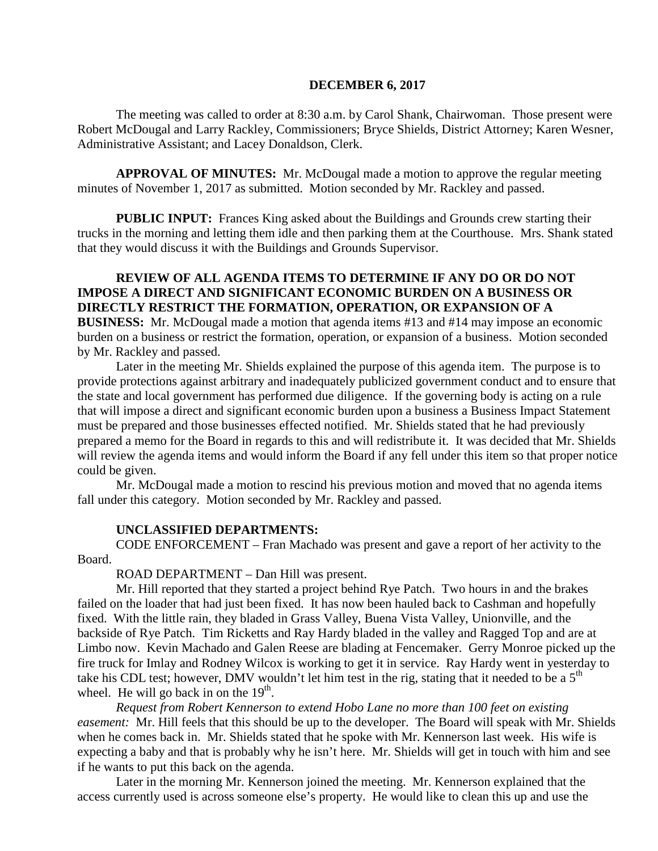#### **DECEMBER 6, 2017**

The meeting was called to order at 8:30 a.m. by Carol Shank, Chairwoman. Those present were Robert McDougal and Larry Rackley, Commissioners; Bryce Shields, District Attorney; Karen Wesner, Administrative Assistant; and Lacey Donaldson, Clerk.

**APPROVAL OF MINUTES:** Mr. McDougal made a motion to approve the regular meeting minutes of November 1, 2017 as submitted. Motion seconded by Mr. Rackley and passed.

**PUBLIC INPUT:** Frances King asked about the Buildings and Grounds crew starting their trucks in the morning and letting them idle and then parking them at the Courthouse. Mrs. Shank stated that they would discuss it with the Buildings and Grounds Supervisor.

#### **REVIEW OF ALL AGENDA ITEMS TO DETERMINE IF ANY DO OR DO NOT IMPOSE A DIRECT AND SIGNIFICANT ECONOMIC BURDEN ON A BUSINESS OR DIRECTLY RESTRICT THE FORMATION, OPERATION, OR EXPANSION OF A**

**BUSINESS:** Mr. McDougal made a motion that agenda items #13 and #14 may impose an economic burden on a business or restrict the formation, operation, or expansion of a business. Motion seconded by Mr. Rackley and passed.

Later in the meeting Mr. Shields explained the purpose of this agenda item. The purpose is to provide protections against arbitrary and inadequately publicized government conduct and to ensure that the state and local government has performed due diligence. If the governing body is acting on a rule that will impose a direct and significant economic burden upon a business a Business Impact Statement must be prepared and those businesses effected notified. Mr. Shields stated that he had previously prepared a memo for the Board in regards to this and will redistribute it. It was decided that Mr. Shields will review the agenda items and would inform the Board if any fell under this item so that proper notice could be given.

Mr. McDougal made a motion to rescind his previous motion and moved that no agenda items fall under this category. Motion seconded by Mr. Rackley and passed.

#### **UNCLASSIFIED DEPARTMENTS:**

CODE ENFORCEMENT – Fran Machado was present and gave a report of her activity to the Board.

ROAD DEPARTMENT – Dan Hill was present.

Mr. Hill reported that they started a project behind Rye Patch. Two hours in and the brakes failed on the loader that had just been fixed. It has now been hauled back to Cashman and hopefully fixed. With the little rain, they bladed in Grass Valley, Buena Vista Valley, Unionville, and the backside of Rye Patch. Tim Ricketts and Ray Hardy bladed in the valley and Ragged Top and are at Limbo now. Kevin Machado and Galen Reese are blading at Fencemaker. Gerry Monroe picked up the fire truck for Imlay and Rodney Wilcox is working to get it in service. Ray Hardy went in yesterday to take his CDL test; however, DMV wouldn't let him test in the rig, stating that it needed to be a  $5<sup>th</sup>$ wheel. He will go back in on the  $19<sup>th</sup>$ .

*Request from Robert Kennerson to extend Hobo Lane no more than 100 feet on existing easement:* Mr. Hill feels that this should be up to the developer. The Board will speak with Mr. Shields when he comes back in. Mr. Shields stated that he spoke with Mr. Kennerson last week. His wife is expecting a baby and that is probably why he isn't here. Mr. Shields will get in touch with him and see if he wants to put this back on the agenda.

Later in the morning Mr. Kennerson joined the meeting. Mr. Kennerson explained that the access currently used is across someone else's property. He would like to clean this up and use the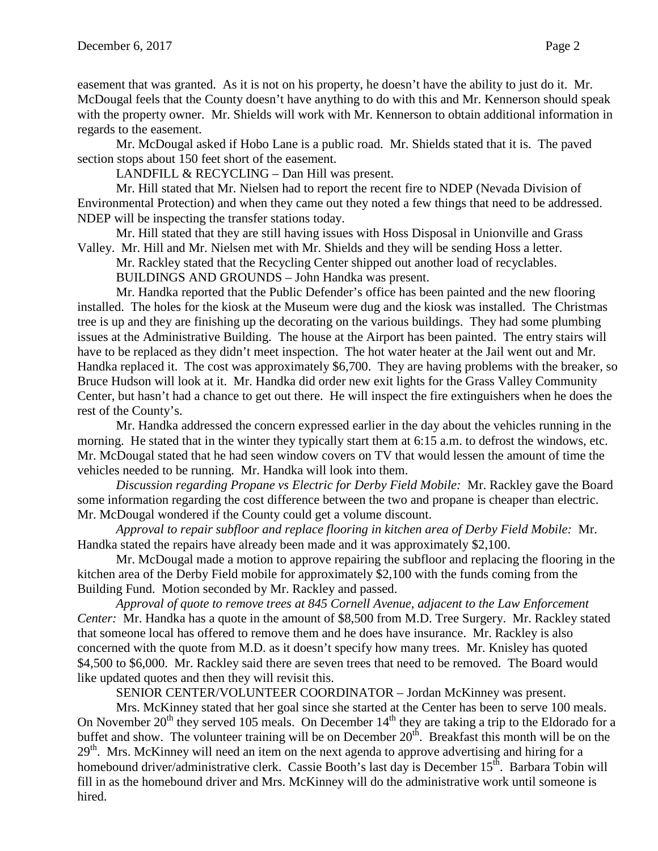easement that was granted. As it is not on his property, he doesn't have the ability to just do it. Mr. McDougal feels that the County doesn't have anything to do with this and Mr. Kennerson should speak with the property owner. Mr. Shields will work with Mr. Kennerson to obtain additional information in regards to the easement.

Mr. McDougal asked if Hobo Lane is a public road. Mr. Shields stated that it is. The paved section stops about 150 feet short of the easement.

LANDFILL & RECYCLING – Dan Hill was present.

Mr. Hill stated that Mr. Nielsen had to report the recent fire to NDEP (Nevada Division of Environmental Protection) and when they came out they noted a few things that need to be addressed. NDEP will be inspecting the transfer stations today.

Mr. Hill stated that they are still having issues with Hoss Disposal in Unionville and Grass Valley. Mr. Hill and Mr. Nielsen met with Mr. Shields and they will be sending Hoss a letter.

Mr. Rackley stated that the Recycling Center shipped out another load of recyclables.

BUILDINGS AND GROUNDS – John Handka was present.

Mr. Handka reported that the Public Defender's office has been painted and the new flooring installed. The holes for the kiosk at the Museum were dug and the kiosk was installed. The Christmas tree is up and they are finishing up the decorating on the various buildings. They had some plumbing issues at the Administrative Building. The house at the Airport has been painted. The entry stairs will have to be replaced as they didn't meet inspection. The hot water heater at the Jail went out and Mr. Handka replaced it. The cost was approximately \$6,700. They are having problems with the breaker, so Bruce Hudson will look at it. Mr. Handka did order new exit lights for the Grass Valley Community Center, but hasn't had a chance to get out there. He will inspect the fire extinguishers when he does the rest of the County's.

Mr. Handka addressed the concern expressed earlier in the day about the vehicles running in the morning. He stated that in the winter they typically start them at 6:15 a.m. to defrost the windows, etc. Mr. McDougal stated that he had seen window covers on TV that would lessen the amount of time the vehicles needed to be running. Mr. Handka will look into them.

*Discussion regarding Propane vs Electric for Derby Field Mobile:* Mr. Rackley gave the Board some information regarding the cost difference between the two and propane is cheaper than electric. Mr. McDougal wondered if the County could get a volume discount.

*Approval to repair subfloor and replace flooring in kitchen area of Derby Field Mobile:* Mr. Handka stated the repairs have already been made and it was approximately \$2,100.

Mr. McDougal made a motion to approve repairing the subfloor and replacing the flooring in the kitchen area of the Derby Field mobile for approximately \$2,100 with the funds coming from the Building Fund. Motion seconded by Mr. Rackley and passed.

*Approval of quote to remove trees at 845 Cornell Avenue, adjacent to the Law Enforcement Center:* Mr. Handka has a quote in the amount of \$8,500 from M.D. Tree Surgery. Mr. Rackley stated that someone local has offered to remove them and he does have insurance. Mr. Rackley is also concerned with the quote from M.D. as it doesn't specify how many trees. Mr. Knisley has quoted \$4,500 to \$6,000. Mr. Rackley said there are seven trees that need to be removed. The Board would like updated quotes and then they will revisit this.

SENIOR CENTER/VOLUNTEER COORDINATOR – Jordan McKinney was present.

Mrs. McKinney stated that her goal since she started at the Center has been to serve 100 meals. On November  $20<sup>th</sup>$  they served 105 meals. On December  $14<sup>th</sup>$  they are taking a trip to the Eldorado for a buffet and show. The volunteer training will be on December  $20<sup>th</sup>$ . Breakfast this month will be on the  $29<sup>th</sup>$ . Mrs. McKinney will need an item on the next agenda to approve advertising and hiring for a homebound driver/administrative clerk. Cassie Booth's last day is December 15<sup>th</sup>. Barbara Tobin will fill in as the homebound driver and Mrs. McKinney will do the administrative work until someone is hired.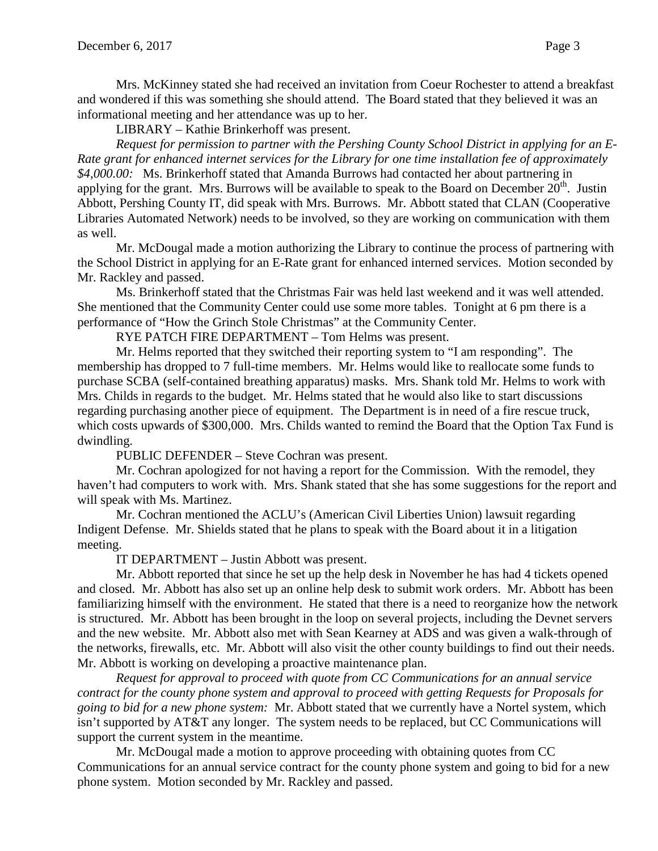Mrs. McKinney stated she had received an invitation from Coeur Rochester to attend a breakfast and wondered if this was something she should attend. The Board stated that they believed it was an informational meeting and her attendance was up to her.

LIBRARY – Kathie Brinkerhoff was present.

*Request for permission to partner with the Pershing County School District in applying for an E-Rate grant for enhanced internet services for the Library for one time installation fee of approximately \$4,000.00:* Ms. Brinkerhoff stated that Amanda Burrows had contacted her about partnering in applying for the grant. Mrs. Burrows will be available to speak to the Board on December  $20<sup>th</sup>$ . Justin Abbott, Pershing County IT, did speak with Mrs. Burrows. Mr. Abbott stated that CLAN (Cooperative Libraries Automated Network) needs to be involved, so they are working on communication with them as well.

Mr. McDougal made a motion authorizing the Library to continue the process of partnering with the School District in applying for an E-Rate grant for enhanced interned services. Motion seconded by Mr. Rackley and passed.

Ms. Brinkerhoff stated that the Christmas Fair was held last weekend and it was well attended. She mentioned that the Community Center could use some more tables. Tonight at 6 pm there is a performance of "How the Grinch Stole Christmas" at the Community Center.

RYE PATCH FIRE DEPARTMENT – Tom Helms was present.

Mr. Helms reported that they switched their reporting system to "I am responding". The membership has dropped to 7 full-time members. Mr. Helms would like to reallocate some funds to purchase SCBA (self-contained breathing apparatus) masks. Mrs. Shank told Mr. Helms to work with Mrs. Childs in regards to the budget. Mr. Helms stated that he would also like to start discussions regarding purchasing another piece of equipment. The Department is in need of a fire rescue truck, which costs upwards of \$300,000. Mrs. Childs wanted to remind the Board that the Option Tax Fund is dwindling.

PUBLIC DEFENDER – Steve Cochran was present.

Mr. Cochran apologized for not having a report for the Commission. With the remodel, they haven't had computers to work with. Mrs. Shank stated that she has some suggestions for the report and will speak with Ms. Martinez.

Mr. Cochran mentioned the ACLU's (American Civil Liberties Union) lawsuit regarding Indigent Defense. Mr. Shields stated that he plans to speak with the Board about it in a litigation meeting.

IT DEPARTMENT – Justin Abbott was present.

Mr. Abbott reported that since he set up the help desk in November he has had 4 tickets opened and closed. Mr. Abbott has also set up an online help desk to submit work orders. Mr. Abbott has been familiarizing himself with the environment. He stated that there is a need to reorganize how the network is structured. Mr. Abbott has been brought in the loop on several projects, including the Devnet servers and the new website. Mr. Abbott also met with Sean Kearney at ADS and was given a walk-through of the networks, firewalls, etc. Mr. Abbott will also visit the other county buildings to find out their needs. Mr. Abbott is working on developing a proactive maintenance plan.

*Request for approval to proceed with quote from CC Communications for an annual service contract for the county phone system and approval to proceed with getting Requests for Proposals for going to bid for a new phone system:* Mr. Abbott stated that we currently have a Nortel system, which isn't supported by AT&T any longer. The system needs to be replaced, but CC Communications will support the current system in the meantime.

Mr. McDougal made a motion to approve proceeding with obtaining quotes from CC Communications for an annual service contract for the county phone system and going to bid for a new phone system. Motion seconded by Mr. Rackley and passed.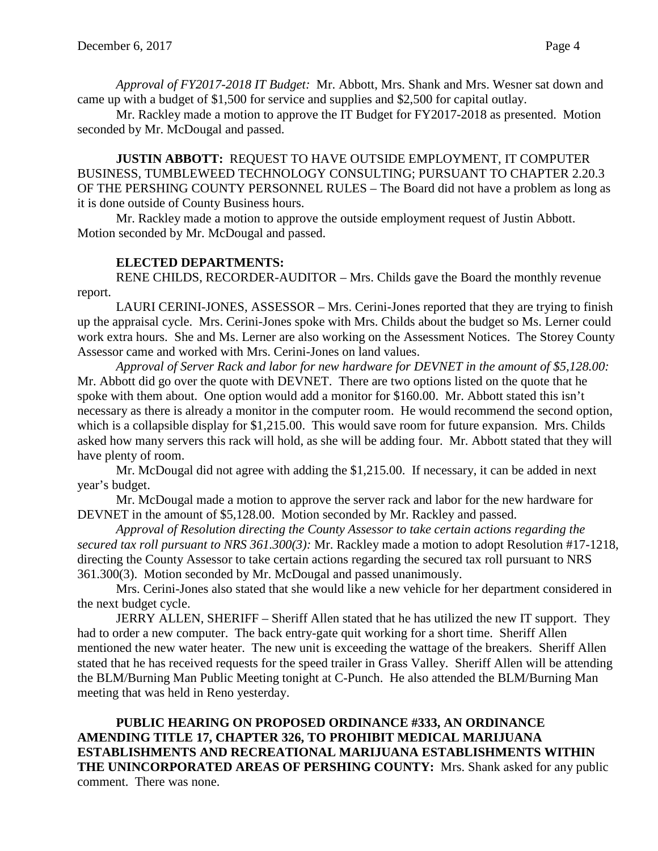*Approval of FY2017-2018 IT Budget:* Mr. Abbott, Mrs. Shank and Mrs. Wesner sat down and came up with a budget of \$1,500 for service and supplies and \$2,500 for capital outlay.

Mr. Rackley made a motion to approve the IT Budget for FY2017-2018 as presented. Motion seconded by Mr. McDougal and passed.

**JUSTIN ABBOTT:** REQUEST TO HAVE OUTSIDE EMPLOYMENT, IT COMPUTER BUSINESS, TUMBLEWEED TECHNOLOGY CONSULTING; PURSUANT TO CHAPTER 2.20.3 OF THE PERSHING COUNTY PERSONNEL RULES – The Board did not have a problem as long as it is done outside of County Business hours.

Mr. Rackley made a motion to approve the outside employment request of Justin Abbott. Motion seconded by Mr. McDougal and passed.

### **ELECTED DEPARTMENTS:**

RENE CHILDS, RECORDER-AUDITOR – Mrs. Childs gave the Board the monthly revenue report.

LAURI CERINI-JONES, ASSESSOR – Mrs. Cerini-Jones reported that they are trying to finish up the appraisal cycle. Mrs. Cerini-Jones spoke with Mrs. Childs about the budget so Ms. Lerner could work extra hours. She and Ms. Lerner are also working on the Assessment Notices. The Storey County Assessor came and worked with Mrs. Cerini-Jones on land values.

*Approval of Server Rack and labor for new hardware for DEVNET in the amount of \$5,128.00:* Mr. Abbott did go over the quote with DEVNET. There are two options listed on the quote that he spoke with them about. One option would add a monitor for \$160.00. Mr. Abbott stated this isn't necessary as there is already a monitor in the computer room. He would recommend the second option, which is a collapsible display for \$1,215.00. This would save room for future expansion. Mrs. Childs asked how many servers this rack will hold, as she will be adding four. Mr. Abbott stated that they will have plenty of room.

Mr. McDougal did not agree with adding the \$1,215.00. If necessary, it can be added in next year's budget.

Mr. McDougal made a motion to approve the server rack and labor for the new hardware for DEVNET in the amount of \$5,128.00. Motion seconded by Mr. Rackley and passed.

*Approval of Resolution directing the County Assessor to take certain actions regarding the secured tax roll pursuant to NRS 361.300(3):* Mr. Rackley made a motion to adopt Resolution #17-1218, directing the County Assessor to take certain actions regarding the secured tax roll pursuant to NRS 361.300(3). Motion seconded by Mr. McDougal and passed unanimously.

Mrs. Cerini-Jones also stated that she would like a new vehicle for her department considered in the next budget cycle.

JERRY ALLEN, SHERIFF – Sheriff Allen stated that he has utilized the new IT support. They had to order a new computer. The back entry-gate quit working for a short time. Sheriff Allen mentioned the new water heater. The new unit is exceeding the wattage of the breakers. Sheriff Allen stated that he has received requests for the speed trailer in Grass Valley. Sheriff Allen will be attending the BLM/Burning Man Public Meeting tonight at C-Punch. He also attended the BLM/Burning Man meeting that was held in Reno yesterday.

**PUBLIC HEARING ON PROPOSED ORDINANCE #333, AN ORDINANCE AMENDING TITLE 17, CHAPTER 326, TO PROHIBIT MEDICAL MARIJUANA ESTABLISHMENTS AND RECREATIONAL MARIJUANA ESTABLISHMENTS WITHIN THE UNINCORPORATED AREAS OF PERSHING COUNTY:** Mrs. Shank asked for any public comment. There was none.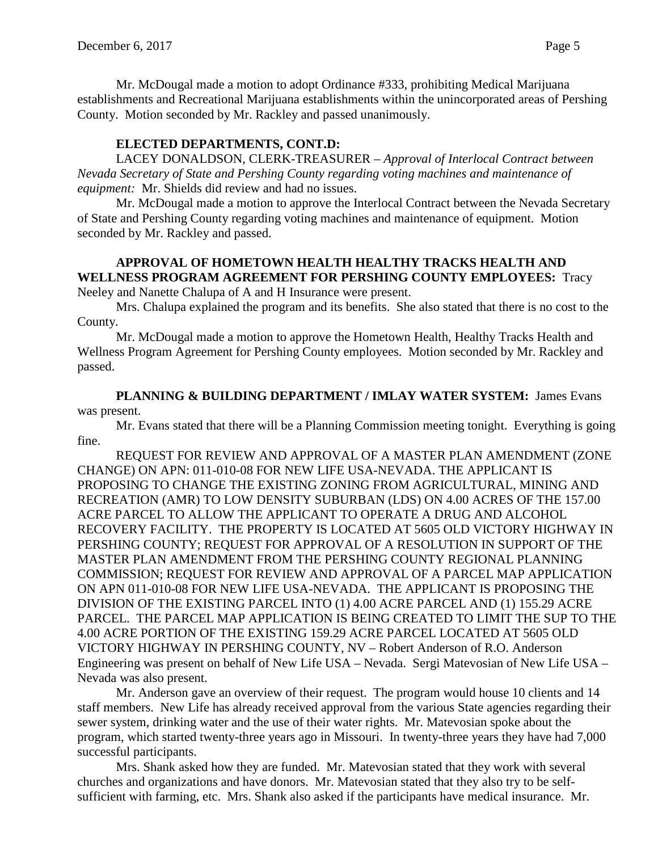Mr. McDougal made a motion to adopt Ordinance #333, prohibiting Medical Marijuana establishments and Recreational Marijuana establishments within the unincorporated areas of Pershing County. Motion seconded by Mr. Rackley and passed unanimously.

#### **ELECTED DEPARTMENTS, CONT.D:**

LACEY DONALDSON, CLERK-TREASURER – *Approval of Interlocal Contract between Nevada Secretary of State and Pershing County regarding voting machines and maintenance of equipment:* Mr. Shields did review and had no issues.

Mr. McDougal made a motion to approve the Interlocal Contract between the Nevada Secretary of State and Pershing County regarding voting machines and maintenance of equipment. Motion seconded by Mr. Rackley and passed.

# **APPROVAL OF HOMETOWN HEALTH HEALTHY TRACKS HEALTH AND WELLNESS PROGRAM AGREEMENT FOR PERSHING COUNTY EMPLOYEES:** Tracy

Neeley and Nanette Chalupa of A and H Insurance were present.

Mrs. Chalupa explained the program and its benefits. She also stated that there is no cost to the County.

Mr. McDougal made a motion to approve the Hometown Health, Healthy Tracks Health and Wellness Program Agreement for Pershing County employees. Motion seconded by Mr. Rackley and passed.

**PLANNING & BUILDING DEPARTMENT / IMLAY WATER SYSTEM:** James Evans was present.

Mr. Evans stated that there will be a Planning Commission meeting tonight. Everything is going fine.

REQUEST FOR REVIEW AND APPROVAL OF A MASTER PLAN AMENDMENT (ZONE CHANGE) ON APN: 011-010-08 FOR NEW LIFE USA-NEVADA. THE APPLICANT IS PROPOSING TO CHANGE THE EXISTING ZONING FROM AGRICULTURAL, MINING AND RECREATION (AMR) TO LOW DENSITY SUBURBAN (LDS) ON 4.00 ACRES OF THE 157.00 ACRE PARCEL TO ALLOW THE APPLICANT TO OPERATE A DRUG AND ALCOHOL RECOVERY FACILITY. THE PROPERTY IS LOCATED AT 5605 OLD VICTORY HIGHWAY IN PERSHING COUNTY; REQUEST FOR APPROVAL OF A RESOLUTION IN SUPPORT OF THE MASTER PLAN AMENDMENT FROM THE PERSHING COUNTY REGIONAL PLANNING COMMISSION; REQUEST FOR REVIEW AND APPROVAL OF A PARCEL MAP APPLICATION ON APN 011-010-08 FOR NEW LIFE USA-NEVADA. THE APPLICANT IS PROPOSING THE DIVISION OF THE EXISTING PARCEL INTO (1) 4.00 ACRE PARCEL AND (1) 155.29 ACRE PARCEL. THE PARCEL MAP APPLICATION IS BEING CREATED TO LIMIT THE SUP TO THE 4.00 ACRE PORTION OF THE EXISTING 159.29 ACRE PARCEL LOCATED AT 5605 OLD VICTORY HIGHWAY IN PERSHING COUNTY, NV – Robert Anderson of R.O. Anderson Engineering was present on behalf of New Life USA – Nevada. Sergi Matevosian of New Life USA – Nevada was also present.

Mr. Anderson gave an overview of their request. The program would house 10 clients and 14 staff members. New Life has already received approval from the various State agencies regarding their sewer system, drinking water and the use of their water rights. Mr. Matevosian spoke about the program, which started twenty-three years ago in Missouri. In twenty-three years they have had 7,000 successful participants.

Mrs. Shank asked how they are funded. Mr. Matevosian stated that they work with several churches and organizations and have donors. Mr. Matevosian stated that they also try to be selfsufficient with farming, etc. Mrs. Shank also asked if the participants have medical insurance. Mr.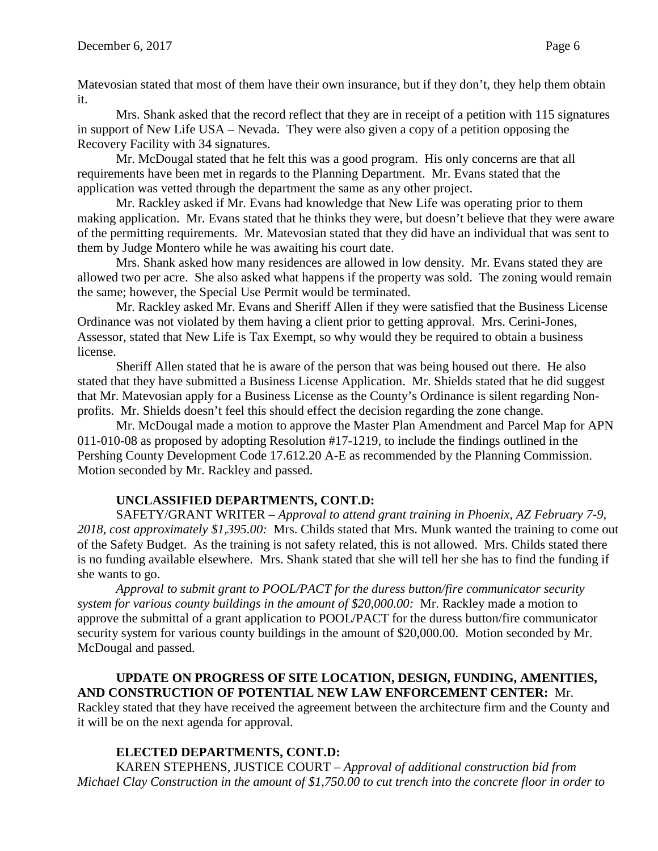Matevosian stated that most of them have their own insurance, but if they don't, they help them obtain it.

Mrs. Shank asked that the record reflect that they are in receipt of a petition with 115 signatures in support of New Life USA – Nevada. They were also given a copy of a petition opposing the Recovery Facility with 34 signatures.

Mr. McDougal stated that he felt this was a good program. His only concerns are that all requirements have been met in regards to the Planning Department. Mr. Evans stated that the application was vetted through the department the same as any other project.

Mr. Rackley asked if Mr. Evans had knowledge that New Life was operating prior to them making application. Mr. Evans stated that he thinks they were, but doesn't believe that they were aware of the permitting requirements. Mr. Matevosian stated that they did have an individual that was sent to them by Judge Montero while he was awaiting his court date.

Mrs. Shank asked how many residences are allowed in low density. Mr. Evans stated they are allowed two per acre. She also asked what happens if the property was sold. The zoning would remain the same; however, the Special Use Permit would be terminated.

Mr. Rackley asked Mr. Evans and Sheriff Allen if they were satisfied that the Business License Ordinance was not violated by them having a client prior to getting approval. Mrs. Cerini-Jones, Assessor, stated that New Life is Tax Exempt, so why would they be required to obtain a business license.

Sheriff Allen stated that he is aware of the person that was being housed out there. He also stated that they have submitted a Business License Application. Mr. Shields stated that he did suggest that Mr. Matevosian apply for a Business License as the County's Ordinance is silent regarding Nonprofits. Mr. Shields doesn't feel this should effect the decision regarding the zone change.

Mr. McDougal made a motion to approve the Master Plan Amendment and Parcel Map for APN 011-010-08 as proposed by adopting Resolution #17-1219, to include the findings outlined in the Pershing County Development Code 17.612.20 A-E as recommended by the Planning Commission. Motion seconded by Mr. Rackley and passed.

# **UNCLASSIFIED DEPARTMENTS, CONT.D:**

SAFETY/GRANT WRITER – *Approval to attend grant training in Phoenix, AZ February 7-9, 2018, cost approximately \$1,395.00:* Mrs. Childs stated that Mrs. Munk wanted the training to come out of the Safety Budget. As the training is not safety related, this is not allowed. Mrs. Childs stated there is no funding available elsewhere. Mrs. Shank stated that she will tell her she has to find the funding if she wants to go.

*Approval to submit grant to POOL/PACT for the duress button/fire communicator security system for various county buildings in the amount of \$20,000.00:* Mr. Rackley made a motion to approve the submittal of a grant application to POOL/PACT for the duress button/fire communicator security system for various county buildings in the amount of \$20,000.00. Motion seconded by Mr. McDougal and passed.

### **UPDATE ON PROGRESS OF SITE LOCATION, DESIGN, FUNDING, AMENITIES, AND CONSTRUCTION OF POTENTIAL NEW LAW ENFORCEMENT CENTER:** Mr.

Rackley stated that they have received the agreement between the architecture firm and the County and it will be on the next agenda for approval.

# **ELECTED DEPARTMENTS, CONT.D:**

KAREN STEPHENS, JUSTICE COURT – *Approval of additional construction bid from Michael Clay Construction in the amount of \$1,750.00 to cut trench into the concrete floor in order to*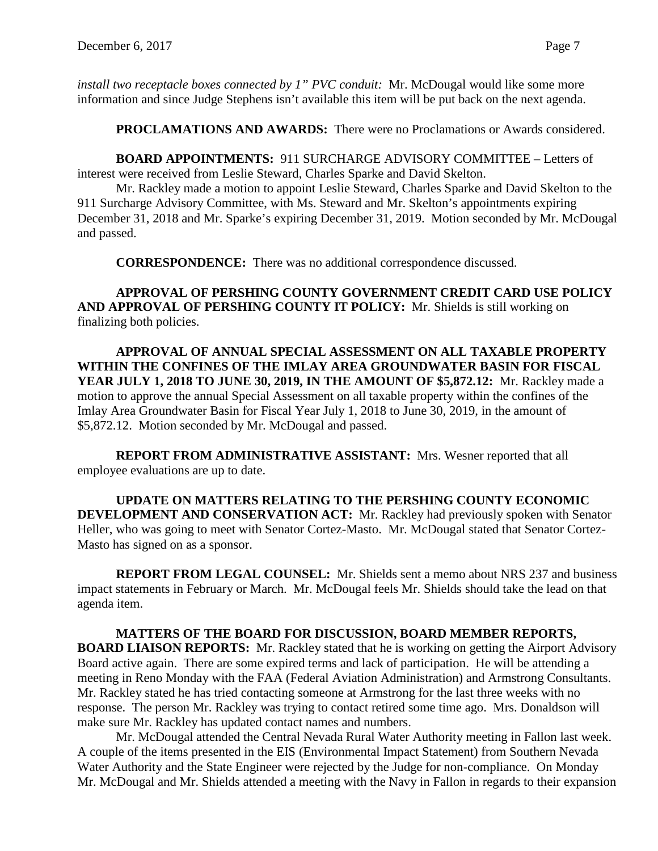*install two receptacle boxes connected by 1" PVC conduit:* Mr. McDougal would like some more information and since Judge Stephens isn't available this item will be put back on the next agenda.

**PROCLAMATIONS AND AWARDS:** There were no Proclamations or Awards considered.

**BOARD APPOINTMENTS:** 911 SURCHARGE ADVISORY COMMITTEE – Letters of interest were received from Leslie Steward, Charles Sparke and David Skelton.

Mr. Rackley made a motion to appoint Leslie Steward, Charles Sparke and David Skelton to the 911 Surcharge Advisory Committee, with Ms. Steward and Mr. Skelton's appointments expiring December 31, 2018 and Mr. Sparke's expiring December 31, 2019. Motion seconded by Mr. McDougal and passed.

**CORRESPONDENCE:** There was no additional correspondence discussed.

**APPROVAL OF PERSHING COUNTY GOVERNMENT CREDIT CARD USE POLICY AND APPROVAL OF PERSHING COUNTY IT POLICY:** Mr. Shields is still working on finalizing both policies.

**APPROVAL OF ANNUAL SPECIAL ASSESSMENT ON ALL TAXABLE PROPERTY WITHIN THE CONFINES OF THE IMLAY AREA GROUNDWATER BASIN FOR FISCAL YEAR JULY 1, 2018 TO JUNE 30, 2019, IN THE AMOUNT OF \$5,872.12:** Mr. Rackley made a motion to approve the annual Special Assessment on all taxable property within the confines of the Imlay Area Groundwater Basin for Fiscal Year July 1, 2018 to June 30, 2019, in the amount of \$5,872.12. Motion seconded by Mr. McDougal and passed.

**REPORT FROM ADMINISTRATIVE ASSISTANT:** Mrs. Wesner reported that all employee evaluations are up to date.

**UPDATE ON MATTERS RELATING TO THE PERSHING COUNTY ECONOMIC DEVELOPMENT AND CONSERVATION ACT:** Mr. Rackley had previously spoken with Senator Heller, who was going to meet with Senator Cortez-Masto. Mr. McDougal stated that Senator Cortez-Masto has signed on as a sponsor.

**REPORT FROM LEGAL COUNSEL:** Mr. Shields sent a memo about NRS 237 and business impact statements in February or March. Mr. McDougal feels Mr. Shields should take the lead on that agenda item.

**MATTERS OF THE BOARD FOR DISCUSSION, BOARD MEMBER REPORTS, BOARD LIAISON REPORTS:** Mr. Rackley stated that he is working on getting the Airport Advisory Board active again. There are some expired terms and lack of participation. He will be attending a meeting in Reno Monday with the FAA (Federal Aviation Administration) and Armstrong Consultants. Mr. Rackley stated he has tried contacting someone at Armstrong for the last three weeks with no response. The person Mr. Rackley was trying to contact retired some time ago. Mrs. Donaldson will make sure Mr. Rackley has updated contact names and numbers.

Mr. McDougal attended the Central Nevada Rural Water Authority meeting in Fallon last week. A couple of the items presented in the EIS (Environmental Impact Statement) from Southern Nevada Water Authority and the State Engineer were rejected by the Judge for non-compliance. On Monday Mr. McDougal and Mr. Shields attended a meeting with the Navy in Fallon in regards to their expansion